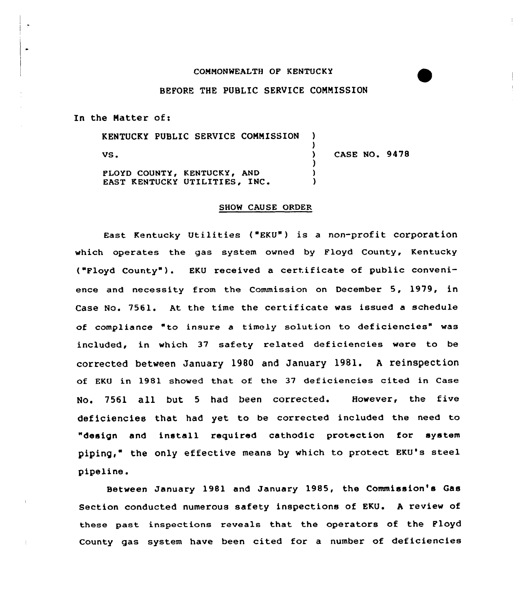## CONNDNWEALTH OF KENTUCKY

## BEFORE THE PUBLIC SERVICE CONNISSION

In the Matter of:

| KENTUCKY PUBLIC SERVICE COMMISSION                           |               |
|--------------------------------------------------------------|---------------|
| VS.                                                          | CASE NO. 9478 |
| PLOYD COUNTY, KENTUCKY, AND<br>EAST KENTUCKY UTILITIES, INC. |               |

## SHOW CAUSE ORDER

East Kentucky Utilities ("EKU") is a non-profit corporation which operates the gas system owned by Floyd County, Kentucky ("Floyd County" ). EKU received <sup>a</sup> certificate of public convenience and necessity from the Commission on December 5, 1979, in Case No. 7561. At the time the certificate was issued a schedule of compliance to insure a timely solution to deficiencies" was included, in which 37 safety related deficiencies were to be corrected between January 1980 and January 1981. <sup>A</sup> reinspection of EKU in 1981 showed that of the 37 deficiencies cited in Case No. 7561 all but <sup>5</sup> had been corrected. However, the five deficiencies that had yet to be corrected included the need to "design and install required cathodic protection for system piping," the only effective means by which to protect EKU's steel pipeline.

Between January 1981 and January 1985, the Commission's Gas Section conducted numerous safety inspections of EKU. <sup>A</sup> review of these past inspections reveals that the operators of the Floyd County gas system have been cited for a number of deficiencies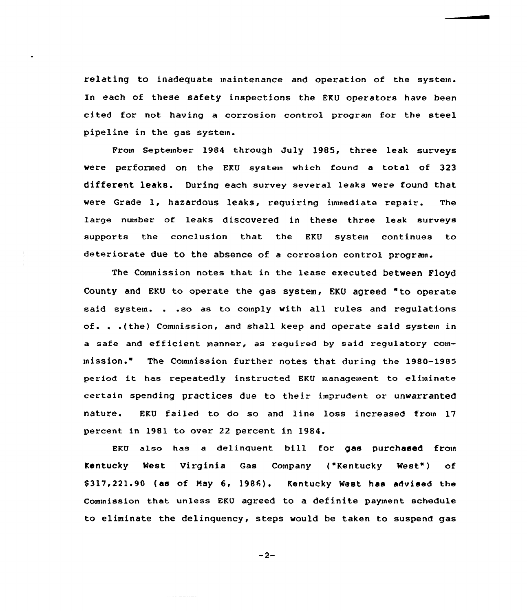relating to inadequate maintenance and operation of the system. In each of these safety inspections the EKU operators have been cited for not having a corrosion control program for the steel pipeline in the gas system.

From September 1984 through July 1985, three leak surveys were performed on the EKU system which found a total of 323 different leaks. During each survey several leaks were found that vere Grade 1, hazardous leaks, requiring immediate repair. The large number of leaks discovered in these three leak surveys supports the conclusion that the EKU system continues to deteriorate due to the absence of a corrosion control program.

The Conunission notes that in the lease executed betveen Floyd County and EKU to operate the gas system, EKU agreed "to operate said system. . .so as to comply with all rules and regulations of. . .(the) Commission, and shall keep and operate said systein in a safe and efficient manner, as required by said regulatory commission." The Commission further notes that during the 1980-1985 period it has repeatedly instructed EKU management to eliminate certain spending practices due to their imprudent or unwarranted nature. EKU failed to do so and line loss increased from 17 percent in 1981 to over 22 percent in 1984.

EKU also has <sup>a</sup> delinquent bill for. gas purchased from Kentucky West Virginia Gas Company ("Kentucky West") of \$ 317,221.90 (as of May 6, 1986). Kentucky West has advised the Commission that unless EKU agreed to <sup>a</sup> definite payment schedule to eliminate the delinquency, steps would be taken to suspend gas

$$
-2-
$$

. . . . . . . . . . . .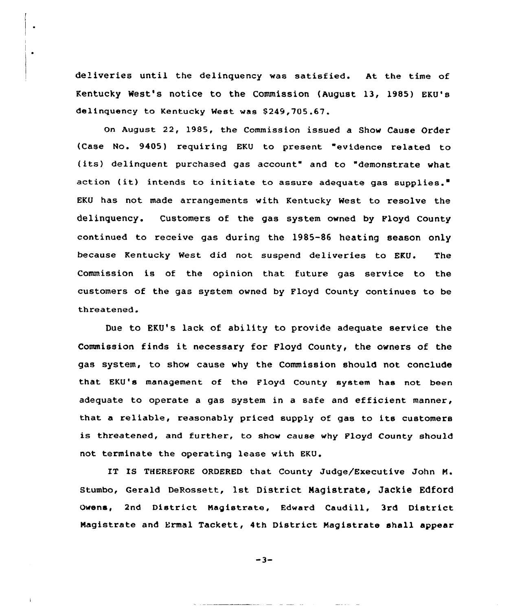deliveries until the delinquency was satisfied. At the time of Kentucky West's notice to the Commission {August 13, 1985) FKU's delinquency to Kentucky West was \$249,705.67.

 $\bullet$ 

on August 22, 1985, the commission issued a Show Cause Order (Case No. 9405) requiring EKV to present "evidence related to (its) delinquent purchased gas account" and to "demonstrate what action (it) intends to initiate to assure adequate gas supplies." EKU has not made arrangements with Kentucky West to resolve the delinquency. Customers of the gas system owned by Floyd County continued to receive gas during the 1985-86 heating season only because Kentucky West did not suspend deliveries to EKU. The Commission is of the opinion that future gas service to the customers of the gas system owned by Floyd County continues to be threatened.

Due to EKU's lack of ability to provide adequate service the Commission finds it necessary for Floyd County, the owners of the gas system, to show cause why the Commission should not conclude that EKU's management of the Floyd County system has not been adequate to operate a gas system in a safe and efficient manner, that a reliable, reasonably priced supply of gas to its customers is threatened, and further, to show cause why Floyd County should not terminate the operating lease with EKU.

IT IS THEREFORE ORDERED that County Judge/Executive John M. Stumbo, Gerald DeRossett, 1st District Magistrate, Jackie Edford Owens, 2nd District Magistrate, Edward Caudill, 3rd District Magistrate and Ermal Tackett, 4th District Magistrate shall appear

 $-3-$